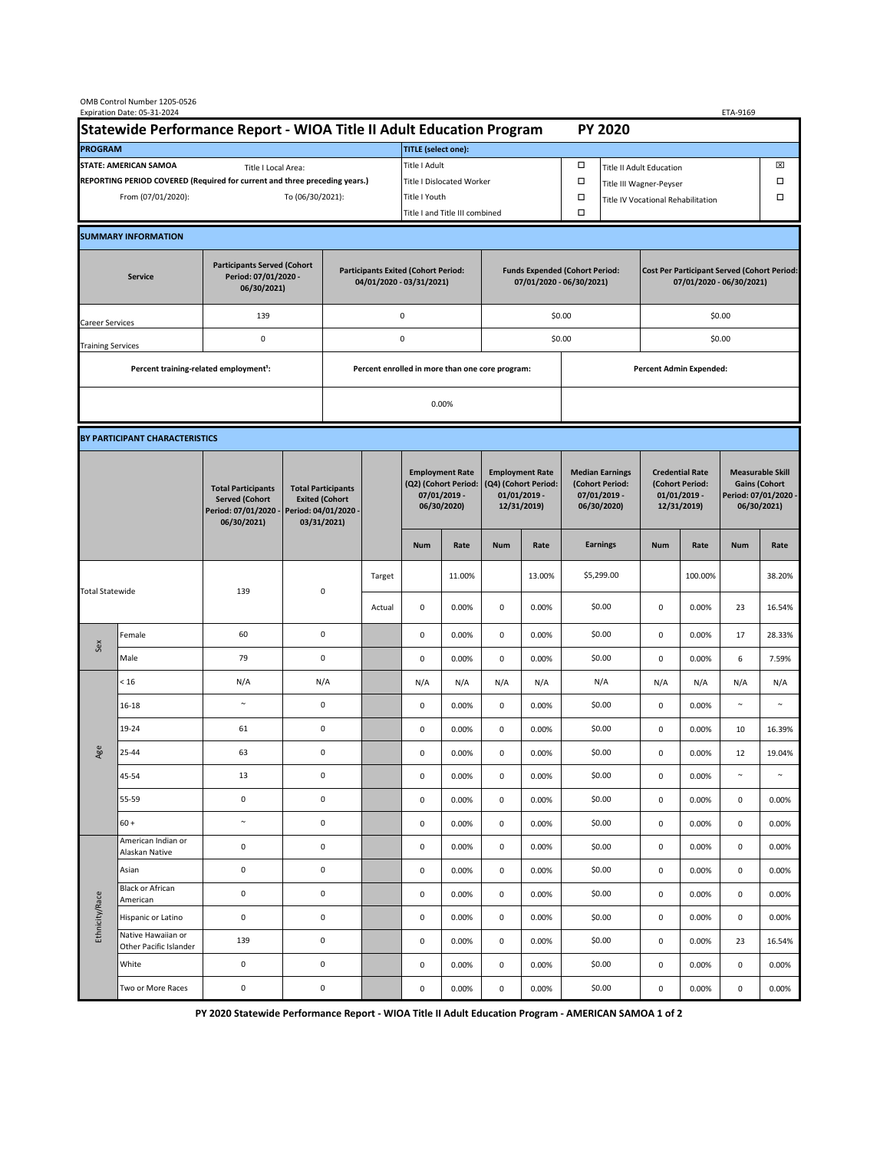| OMB Control Number 1205-0526<br>Expiration Date: 05-31-2024<br>ETA-9169                     |                                                    |                                                                                           |                                                 |                                                                        |        |                                                                               |                                |                                                                                 |                |                                                                            |                                    |                                                                                |                |                                                                                        |                 |  |
|---------------------------------------------------------------------------------------------|----------------------------------------------------|-------------------------------------------------------------------------------------------|-------------------------------------------------|------------------------------------------------------------------------|--------|-------------------------------------------------------------------------------|--------------------------------|---------------------------------------------------------------------------------|----------------|----------------------------------------------------------------------------|------------------------------------|--------------------------------------------------------------------------------|----------------|----------------------------------------------------------------------------------------|-----------------|--|
| Statewide Performance Report - WIOA Title II Adult Education Program                        |                                                    |                                                                                           |                                                 |                                                                        |        |                                                                               |                                |                                                                                 |                |                                                                            | <b>PY 2020</b>                     |                                                                                |                |                                                                                        |                 |  |
| <b>PROGRAM</b>                                                                              |                                                    |                                                                                           |                                                 |                                                                        |        | <b>TITLE</b> (select one):                                                    |                                |                                                                                 |                |                                                                            |                                    |                                                                                |                |                                                                                        |                 |  |
| <b>STATE: AMERICAN SAMOA</b><br>Title I Local Area:                                         |                                                    |                                                                                           |                                                 |                                                                        |        | Title I Adult                                                                 |                                |                                                                                 |                | □<br>⊠<br><b>Title II Adult Education</b>                                  |                                    |                                                                                |                |                                                                                        |                 |  |
| REPORTING PERIOD COVERED (Required for current and three preceding years.)                  |                                                    |                                                                                           |                                                 |                                                                        |        |                                                                               | Title I Dislocated Worker      |                                                                                 |                | $\Box$                                                                     | Title III Wagner-Peyser            |                                                                                |                |                                                                                        |                 |  |
|                                                                                             | From (07/01/2020):                                 |                                                                                           | To (06/30/2021):                                |                                                                        |        | Title I Youth                                                                 |                                |                                                                                 |                |                                                                            | Title IV Vocational Rehabilitation |                                                                                |                | □                                                                                      |                 |  |
|                                                                                             |                                                    |                                                                                           |                                                 |                                                                        |        |                                                                               | Title I and Title III combined |                                                                                 |                | $\Box$                                                                     |                                    |                                                                                |                |                                                                                        |                 |  |
|                                                                                             | <b>SUMMARY INFORMATION</b>                         |                                                                                           |                                                 |                                                                        |        |                                                                               |                                |                                                                                 |                |                                                                            |                                    |                                                                                |                |                                                                                        |                 |  |
| <b>Participants Served (Cohort</b><br>Period: 07/01/2020 -<br><b>Service</b><br>06/30/2021) |                                                    |                                                                                           |                                                 | <b>Participants Exited (Cohort Period:</b><br>04/01/2020 - 03/31/2021) |        |                                                                               |                                | <b>Funds Expended (Cohort Period:</b><br>07/01/2020 - 06/30/2021)               |                |                                                                            |                                    | <b>Cost Per Participant Served (Cohort Period:</b><br>07/01/2020 - 06/30/2021) |                |                                                                                        |                 |  |
| <b>Career Services</b>                                                                      |                                                    | 139                                                                                       |                                                 |                                                                        |        | 0                                                                             |                                |                                                                                 |                | \$0.00                                                                     |                                    | \$0.00                                                                         |                |                                                                                        |                 |  |
| <b>Training Services</b>                                                                    |                                                    | 0                                                                                         |                                                 | 0                                                                      |        |                                                                               |                                |                                                                                 |                | \$0.00                                                                     |                                    | \$0.00                                                                         |                |                                                                                        |                 |  |
|                                                                                             | Percent training-related employment <sup>1</sup> : |                                                                                           | Percent enrolled in more than one core program: |                                                                        |        |                                                                               |                                |                                                                                 |                | <b>Percent Admin Expended:</b>                                             |                                    |                                                                                |                |                                                                                        |                 |  |
|                                                                                             |                                                    |                                                                                           |                                                 |                                                                        |        | 0.00%                                                                         |                                |                                                                                 |                |                                                                            |                                    |                                                                                |                |                                                                                        |                 |  |
|                                                                                             |                                                    |                                                                                           |                                                 |                                                                        |        |                                                                               |                                |                                                                                 |                |                                                                            |                                    |                                                                                |                |                                                                                        |                 |  |
| BY PARTICIPANT CHARACTERISTICS                                                              |                                                    |                                                                                           |                                                 |                                                                        |        |                                                                               |                                |                                                                                 |                |                                                                            |                                    |                                                                                |                |                                                                                        |                 |  |
|                                                                                             |                                                    | <b>Total Participants</b><br><b>Served (Cohort</b><br>Period: 07/01/2020 -<br>06/30/2021) | Period: 04/01/2020 -                            | <b>Total Participants</b><br><b>Exited (Cohort</b><br>03/31/2021)      |        | <b>Employment Rate</b><br>(Q2) (Cohort Period:<br>07/01/2019 -<br>06/30/2020) |                                | <b>Employment Rate</b><br>(Q4) (Cohort Period:<br>$01/01/2019$ -<br>12/31/2019) |                | <b>Median Earnings</b><br>(Cohort Period:<br>$07/01/2019 -$<br>06/30/2020) |                                    | <b>Credential Rate</b><br>(Cohort Period:<br>$01/01/2019 -$<br>12/31/2019)     |                | <b>Measurable Skill</b><br><b>Gains (Cohort</b><br>Period: 07/01/2020 -<br>06/30/2021) |                 |  |
|                                                                                             |                                                    |                                                                                           |                                                 |                                                                        |        | <b>Num</b>                                                                    | Rate                           | <b>Num</b>                                                                      | Rate           |                                                                            | <b>Earnings</b>                    | <b>Num</b>                                                                     | Rate           | <b>Num</b>                                                                             | Rate            |  |
| <b>Total Statewide</b>                                                                      |                                                    | 139                                                                                       | $\pmb{0}$                                       |                                                                        | Target |                                                                               | 11.00%                         |                                                                                 | 13.00%         |                                                                            | \$5,299.00                         |                                                                                | 100.00%        |                                                                                        | 38.20%          |  |
|                                                                                             |                                                    |                                                                                           |                                                 |                                                                        | Actual | 0                                                                             | 0.00%                          | 0                                                                               | 0.00%          |                                                                            | \$0.00                             | 0                                                                              | 0.00%          | 23                                                                                     | 16.54%          |  |
| Sex                                                                                         | Female                                             | 60                                                                                        | $\mathsf 0$                                     |                                                                        |        | $\mathbf 0$                                                                   | 0.00%                          | 0                                                                               | 0.00%          |                                                                            | \$0.00                             | $\mathsf 0$                                                                    | 0.00%          | 17                                                                                     | 28.33%          |  |
|                                                                                             | Male                                               | 79                                                                                        | $\pmb{0}$                                       |                                                                        |        | $\mathsf{O}\xspace$                                                           | 0.00%                          | $\pmb{0}$                                                                       | 0.00%          |                                                                            | \$0.00                             | $\pmb{0}$                                                                      | 0.00%          | 6                                                                                      | 7.59%           |  |
| Age                                                                                         | < 16                                               | N/A                                                                                       | N/A                                             |                                                                        |        | N/A                                                                           | N/A                            | N/A                                                                             | N/A            |                                                                            | N/A                                | N/A                                                                            | N/A            | N/A                                                                                    | N/A             |  |
|                                                                                             | 16-18                                              | $\sim$                                                                                    | $\mathsf 0$                                     |                                                                        |        | $\mathbf 0$                                                                   | 0.00%                          | 0                                                                               | 0.00%          |                                                                            | \$0.00                             | $\mathsf 0$                                                                    | 0.00%          | $\sim$                                                                                 | $\tilde{}$      |  |
|                                                                                             | 19-24                                              | 61                                                                                        | $\mathsf 0$                                     |                                                                        |        | $\mathbf 0$                                                                   | 0.00%                          | $\mathbf{0}$                                                                    | 0.00%          |                                                                            | \$0.00                             | 0                                                                              | 0.00%          | 10                                                                                     | 16.39%          |  |
|                                                                                             | 25-44                                              | 63                                                                                        | 0                                               |                                                                        |        | 0                                                                             | 0.00%                          | 0                                                                               | 0.00%          |                                                                            | \$0.00                             | 0                                                                              | 0.00%          | 12                                                                                     | 19.04%          |  |
|                                                                                             | 45-54                                              | 13                                                                                        | $\mathsf 0$                                     |                                                                        |        | $\mathsf{O}\xspace$                                                           | 0.00%                          | $\mathsf{O}\xspace$                                                             | 0.00%          |                                                                            | \$0.00                             | $\mathsf 0$                                                                    | 0.00%          | $\sim$                                                                                 | $\sim$          |  |
|                                                                                             | 55-59                                              | $\mathsf 0$                                                                               | $\mathsf 0$                                     |                                                                        |        | $\mathsf{O}\xspace$                                                           | 0.00%                          | $\mathsf 0$                                                                     | 0.00%          |                                                                            | \$0.00                             | 0                                                                              | 0.00%          | 0                                                                                      | 0.00%           |  |
|                                                                                             | $60 +$<br>American Indian or                       | $\sim$                                                                                    | $\pmb{0}$                                       |                                                                        |        | 0                                                                             | 0.00%                          | 0                                                                               | 0.00%          |                                                                            | \$0.00                             | $\mathbf 0$                                                                    | 0.00%          | $\mathsf{O}\xspace$                                                                    | 0.00%           |  |
| Ethnicity/Race                                                                              | Alaskan Native                                     | $\pmb{0}$                                                                                 | $\pmb{0}$                                       |                                                                        |        | 0                                                                             | 0.00%                          | 0                                                                               | 0.00%          |                                                                            | \$0.00                             | 0                                                                              | 0.00%          | 0                                                                                      | 0.00%           |  |
|                                                                                             | Asian<br><b>Black or African</b>                   | $\mathsf 0$                                                                               |                                                 | $\mathsf 0$                                                            |        | 0                                                                             | 0.00%                          | 0                                                                               | 0.00%          |                                                                            | \$0.00                             | 0                                                                              | 0.00%          | 0                                                                                      | 0.00%           |  |
|                                                                                             | American                                           | $\pmb{0}$                                                                                 |                                                 | $\pmb{0}$                                                              |        | 0                                                                             | 0.00%                          | $\mathsf{O}\xspace$                                                             | 0.00%          |                                                                            | \$0.00                             | $\pmb{0}$                                                                      | 0.00%          | $\mathsf{O}\xspace$                                                                    | 0.00%           |  |
|                                                                                             | Hispanic or Latino<br>Native Hawaiian or           | $\pmb{0}$<br>139                                                                          |                                                 | $\pmb{0}$<br>$\mathsf 0$                                               |        | $\mathsf 0$                                                                   | 0.00%                          | $\mathsf 0$                                                                     | 0.00%          |                                                                            | \$0.00<br>\$0.00                   | $\pmb{0}$                                                                      | 0.00%          | $\mathsf{O}\xspace$                                                                    | 0.00%           |  |
|                                                                                             | Other Pacific Islander<br>White                    | 0                                                                                         |                                                 | $\mathsf 0$                                                            |        | 0<br>0                                                                        | 0.00%<br>0.00%                 | 0<br>0                                                                          | 0.00%<br>0.00% |                                                                            | \$0.00                             | $\mathbf 0$<br>0                                                               | 0.00%<br>0.00% | 23<br>0                                                                                | 16.54%<br>0.00% |  |
|                                                                                             | Two or More Races                                  | $\pmb{0}$                                                                                 | $\pmb{0}$                                       |                                                                        |        | 0                                                                             | 0.00%                          | 0                                                                               | 0.00%          |                                                                            | \$0.00                             | $\mathbf 0$                                                                    | 0.00%          | 0                                                                                      | 0.00%           |  |
|                                                                                             |                                                    |                                                                                           |                                                 |                                                                        |        |                                                                               |                                |                                                                                 |                |                                                                            |                                    |                                                                                |                |                                                                                        |                 |  |

 **PY 2020 Statewide Performance Report - WIOA Title II Adult Education Program - AMERICAN SAMOA 1 of 2**